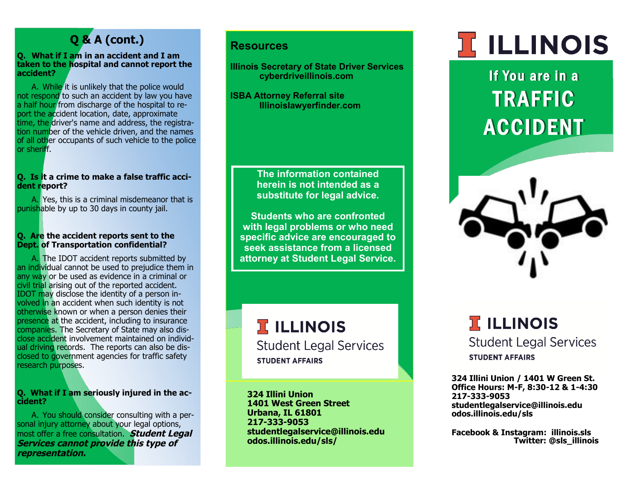### **Q & A (cont.)**

### **Q. What if I am in an accident and I am taken to the hospital and cannot report the accident?**

A. While it is unlikely that the police would not respond to such an accident by law you have a half hour from discharge of the hospital to report the accident location, date, approximate time, the driver's name and address, the registration number of the vehicle driven, and the names of all other occupants of such vehicle to the police or sheriff.

### **Q. Is it a crime to make a false traffic accident report?**

A. Yes, this is a criminal misdemeanor that is punishable by up to 30 days in county jail.

### **Q. Are the accident reports sent to the Dept. of Transportation confidential?**

A. The IDOT accident reports submitted by an individual cannot be used to prejudice them in any way or be used as evidence in a criminal or civil trial arising out of the reported accident. IDOT may disclose the identity of a person involved in an accident when such identity is not otherwise known or when a person denies their presence at the accident, including to insurance companies. The Secretary of State may also disclose accident involvement maintained on individual driving records. The reports can also be disclosed to government agencies for traffic safety research purposes.

### **Q. What if I am seriously injured in the accident?**

A. You should consider consulting with a personal injury attorney about your legal options, most offer a free consultation. **Student Legal Services cannot provide this type of representation.** 

### **Resources**

**Illinois Secretary of State Driver Services cyberdriveillinois.com**

**ISBA Attorney Referral site Illinoislawyerfinder.com**

> **The information contained herein is not intended as a substitute for legal advice.**

**Students who are confronted with legal problems or who need specific advice are encouraged to seek assistance from a licensed attorney at Student Legal Service.**

## **I ILLINOIS**

**Student Legal Services STUDENT AFFAIRS** 

**324 Illini Union 1401 West Green Street Urbana, IL 61801 217-333-9053 studentlegalservice@illinois.edu odos.illinois.edu/sls/**

# **ELLINOIS**

If You are in a **TRAFFIC ACCIDENT** 



### **TELLINOIS Student Legal Services STUDENT AFFAIRS**

**324 Illini Union / 1401 W Green St. Office Hours: M-F, 8:30-12 & 1-4:30 217-333-9053 studentlegalservice@illinois.edu odos.illinois.edu/sls**

**Facebook & Instagram: illinois.sls Twitter: @sls\_illinois**